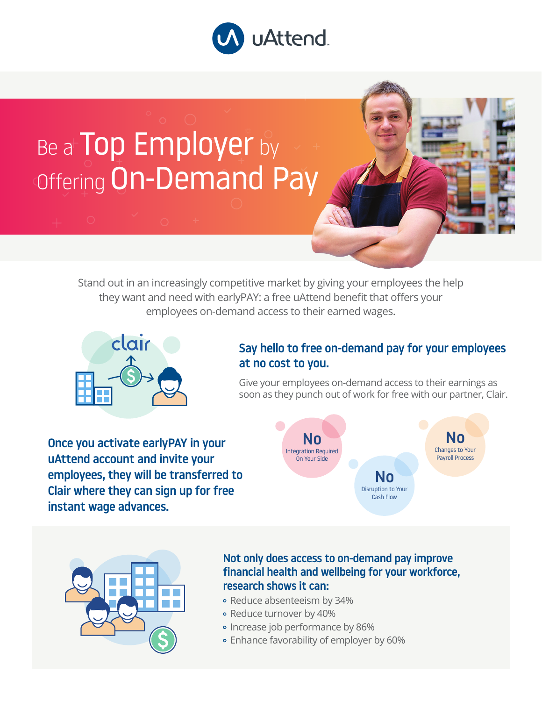

## Be a Top Employer by Offering On-Demand Pay

Stand out in an increasingly competitive market by giving your employees the help they want and need with earlyPAY: a free uAttend benefit that offers your employees on-demand access to their earned wages.



## Say hello to free on-demand pay for your employees at no cost to you.

Give your employees on-demand access to their earnings as soon as they punch out of work for free with our partner, Clair.

Once you activate earlyPAY in your uAttend account and invite your employees, they will be transferred to Clair where they can sign up for free instant wage advances.





## Not only does access to on-demand pay improve financial health and wellbeing for your workforce, research shows it can:

- Reduce absenteeism by 34%
- Reduce turnover by 40%
- Increase job performance by 86%
- Enhance favorability of employer by 60%